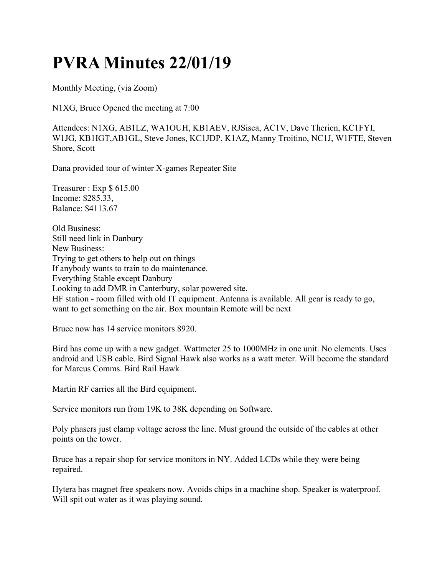## PVRA Minutes 22/01/19

Monthly Meeting, (via Zoom)

N1XG, Bruce Opened the meeting at 7:00

Attendees: N1XG, AB1LZ, WA1OUH, KB1AEV, RJSisca, AC1V, Dave Therien, KC1FYI, W1JG, KB1IGT,AB1GL, Steve Jones, KC1JDP, K1AZ, Manny Troitino, NC1J, W1FTE, Steven Shore, Scott

Dana provided tour of winter X-games Repeater Site

Treasurer : Exp \$ 615.00 Income: \$285.33, Balance: \$4113.67

Old Business: Still need link in Danbury New Business: Trying to get others to help out on things If anybody wants to train to do maintenance. Everything Stable except Danbury Looking to add DMR in Canterbury, solar powered site. HF station - room filled with old IT equipment. Antenna is available. All gear is ready to go, want to get something on the air. Box mountain Remote will be next

Bruce now has 14 service monitors 8920.

Bird has come up with a new gadget. Wattmeter 25 to 1000MHz in one unit. No elements. Uses android and USB cable. Bird Signal Hawk also works as a watt meter. Will become the standard for Marcus Comms. Bird Rail Hawk

Martin RF carries all the Bird equipment.

Service monitors run from 19K to 38K depending on Software.

Poly phasers just clamp voltage across the line. Must ground the outside of the cables at other points on the tower.

Bruce has a repair shop for service monitors in NY. Added LCDs while they were being repaired.

Hytera has magnet free speakers now. Avoids chips in a machine shop. Speaker is waterproof. Will spit out water as it was playing sound.